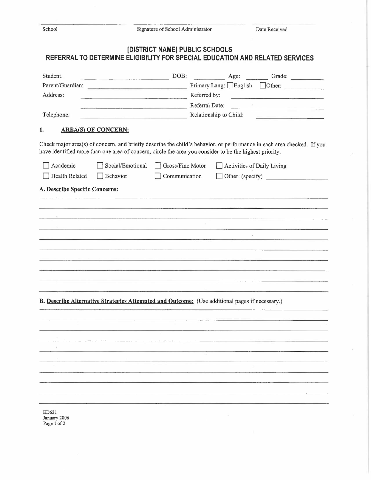| n<br>С |  |
|--------|--|
|        |  |

## **[DISTRICT NAME] PUBLIC SCHOOLS REFERRAL TO DETERMINE ELIGIBILITY FOR SPECIAL EDUCATION AND RELATED SERVICES**

| Student:                       |                                                                                                         | DOB:             |                        |                            | Age: Grade:                                                                                                            |  |  |
|--------------------------------|---------------------------------------------------------------------------------------------------------|------------------|------------------------|----------------------------|------------------------------------------------------------------------------------------------------------------------|--|--|
| Parent/Guardian:               |                                                                                                         |                  |                        |                            | Primary Lang: English Other:                                                                                           |  |  |
| Address:                       |                                                                                                         | Referred by:     |                        |                            |                                                                                                                        |  |  |
|                                |                                                                                                         |                  |                        | Referral Date:             |                                                                                                                        |  |  |
| Telephone:                     |                                                                                                         |                  | Relationship to Child: |                            |                                                                                                                        |  |  |
| 1.                             | <b>AREA(S) OF CONCERN:</b>                                                                              |                  |                        |                            |                                                                                                                        |  |  |
|                                | have identified more than one area of concern, circle the area you consider to be the highest priority. |                  |                        |                            | Check major area(s) of concern, and briefly describe the child's behavior, or performance in each area checked. If you |  |  |
| Academic                       | Social/Emotional                                                                                        | Gross/Fine Motor |                        | Activities of Daily Living |                                                                                                                        |  |  |
| <b>Health Related</b>          | Behavior                                                                                                | Communication    |                        |                            | Other: (specify)                                                                                                       |  |  |
| A. Describe Specific Concerns: |                                                                                                         |                  |                        |                            |                                                                                                                        |  |  |
|                                |                                                                                                         |                  |                        |                            |                                                                                                                        |  |  |
|                                |                                                                                                         |                  |                        |                            |                                                                                                                        |  |  |
|                                |                                                                                                         |                  |                        |                            |                                                                                                                        |  |  |
|                                |                                                                                                         |                  |                        |                            |                                                                                                                        |  |  |
|                                |                                                                                                         |                  |                        |                            |                                                                                                                        |  |  |
|                                |                                                                                                         |                  |                        |                            |                                                                                                                        |  |  |
|                                |                                                                                                         |                  |                        |                            |                                                                                                                        |  |  |
|                                |                                                                                                         |                  |                        |                            |                                                                                                                        |  |  |
|                                |                                                                                                         |                  |                        |                            |                                                                                                                        |  |  |
|                                |                                                                                                         |                  |                        |                            |                                                                                                                        |  |  |
|                                |                                                                                                         |                  |                        |                            |                                                                                                                        |  |  |
|                                | B. Describe Alternative Strategies Attempted and Outcome: (Use additional pages if necessary.)          |                  |                        |                            |                                                                                                                        |  |  |
|                                |                                                                                                         |                  |                        |                            |                                                                                                                        |  |  |
|                                |                                                                                                         |                  |                        |                            |                                                                                                                        |  |  |
|                                |                                                                                                         |                  |                        |                            |                                                                                                                        |  |  |
|                                |                                                                                                         |                  |                        |                            |                                                                                                                        |  |  |
|                                |                                                                                                         |                  |                        |                            |                                                                                                                        |  |  |
|                                |                                                                                                         |                  |                        | $\bar{\mathbf{t}}$         |                                                                                                                        |  |  |
|                                |                                                                                                         |                  |                        |                            |                                                                                                                        |  |  |
|                                |                                                                                                         |                  |                        |                            |                                                                                                                        |  |  |
|                                |                                                                                                         |                  |                        |                            |                                                                                                                        |  |  |
|                                |                                                                                                         |                  |                        |                            |                                                                                                                        |  |  |
| ED621<br>January 2006          |                                                                                                         |                  |                        |                            |                                                                                                                        |  |  |
| Page 1 of 2                    |                                                                                                         |                  |                        |                            |                                                                                                                        |  |  |